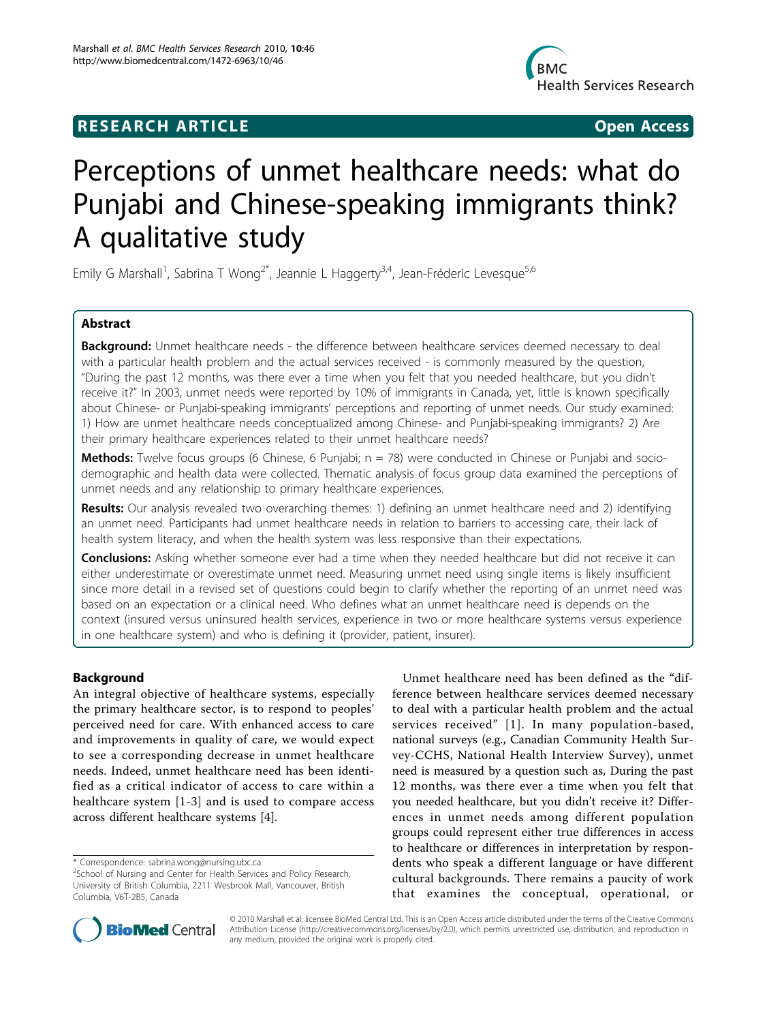## **RESEARCH ARTICLE Example 2018 CONSIDERING ACCESS**



# Perceptions of unmet healthcare needs: what do Punjabi and Chinese-speaking immigrants think? A qualitative study

Emily G Marshall<sup>1</sup>, Sabrina T Wong<sup>2\*</sup>, Jeannie L Haggerty<sup>3,4</sup>, Jean-Fréderic Levesque<sup>5,6</sup>

## Abstract

Background: Unmet healthcare needs - the difference between healthcare services deemed necessary to deal with a particular health problem and the actual services received - is commonly measured by the question, "During the past 12 months, was there ever a time when you felt that you needed healthcare, but you didn't receive it?" In 2003, unmet needs were reported by 10% of immigrants in Canada, yet, little is known specifically about Chinese- or Punjabi-speaking immigrants' perceptions and reporting of unmet needs. Our study examined: 1) How are unmet healthcare needs conceptualized among Chinese- and Punjabi-speaking immigrants? 2) Are their primary healthcare experiences related to their unmet healthcare needs?

**Methods:** Twelve focus groups (6 Chinese, 6 Punjabi;  $n = 78$ ) were conducted in Chinese or Punjabi and sociodemographic and health data were collected. Thematic analysis of focus group data examined the perceptions of unmet needs and any relationship to primary healthcare experiences.

Results: Our analysis revealed two overarching themes: 1) defining an unmet healthcare need and 2) identifying an unmet need. Participants had unmet healthcare needs in relation to barriers to accessing care, their lack of health system literacy, and when the health system was less responsive than their expectations.

**Conclusions:** Asking whether someone ever had a time when they needed healthcare but did not receive it can either underestimate or overestimate unmet need. Measuring unmet need using single items is likely insufficient since more detail in a revised set of questions could begin to clarify whether the reporting of an unmet need was based on an expectation or a clinical need. Who defines what an unmet healthcare need is depends on the context (insured versus uninsured health services, experience in two or more healthcare systems versus experience in one healthcare system) and who is defining it (provider, patient, insurer).

## Background

An integral objective of healthcare systems, especially the primary healthcare sector, is to respond to peoples' perceived need for care. With enhanced access to care and improvements in quality of care, we would expect to see a corresponding decrease in unmet healthcare needs. Indeed, unmet healthcare need has been identified as a critical indicator of access to care within a healthcare system [[1-3](#page-7-0)] and is used to compare access across different healthcare systems [\[4](#page-7-0)].

Unmet healthcare need has been defined as the "difference between healthcare services deemed necessary to deal with a particular health problem and the actual services received" [[1](#page-7-0)]. In many population-based, national surveys (e.g., Canadian Community Health Survey-CCHS, National Health Interview Survey), unmet need is measured by a question such as, During the past 12 months, was there ever a time when you felt that you needed healthcare, but you didn't receive it? Differences in unmet needs among different population groups could represent either true differences in access to healthcare or differences in interpretation by respondents who speak a different language or have different cultural backgrounds. There remains a paucity of work that examines the conceptual, operational, or



© 2010 Marshall et al; licensee BioMed Central Ltd. This is an Open Access article distributed under the terms of the Creative Commons Attribution License [\(http://creativecommons.org/licenses/by/2.0](http://creativecommons.org/licenses/by/2.0)), which permits unrestricted use, distribution, and reproduction in any medium, provided the original work is properly cited.

<sup>\*</sup> Correspondence: [sabrina.wong@nursing.ubc.ca](mailto:sabrina.wong@nursing.ubc.ca)

<sup>&</sup>lt;sup>2</sup>School of Nursing and Center for Health Services and Policy Research, University of British Columbia, 2211 Wesbrook Mall, Vancouver, British Columbia, V6T-2B5, Canada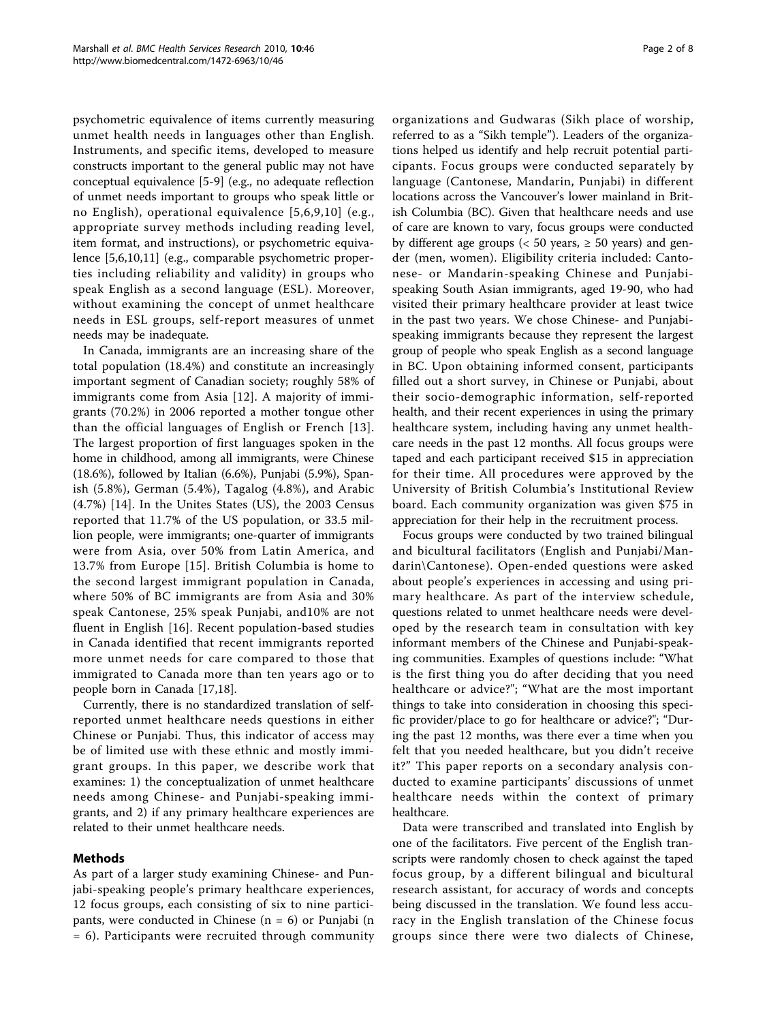psychometric equivalence of items currently measuring unmet health needs in languages other than English. Instruments, and specific items, developed to measure constructs important to the general public may not have conceptual equivalence [[5-9\]](#page-7-0) (e.g., no adequate reflection of unmet needs important to groups who speak little or no English), operational equivalence [[5](#page-7-0),[6](#page-7-0),[9](#page-7-0),[10](#page-7-0)] (e.g., appropriate survey methods including reading level, item format, and instructions), or psychometric equivalence [[5,6,10,11\]](#page-7-0) (e.g., comparable psychometric properties including reliability and validity) in groups who speak English as a second language (ESL). Moreover, without examining the concept of unmet healthcare needs in ESL groups, self-report measures of unmet needs may be inadequate.

In Canada, immigrants are an increasing share of the total population (18.4%) and constitute an increasingly important segment of Canadian society; roughly 58% of immigrants come from Asia [[12](#page-7-0)]. A majority of immigrants (70.2%) in 2006 reported a mother tongue other than the official languages of English or French [[13\]](#page-7-0). The largest proportion of first languages spoken in the home in childhood, among all immigrants, were Chinese (18.6%), followed by Italian (6.6%), Punjabi (5.9%), Spanish (5.8%), German (5.4%), Tagalog (4.8%), and Arabic (4.7%) [\[14](#page-7-0)]. In the Unites States (US), the 2003 Census reported that 11.7% of the US population, or 33.5 million people, were immigrants; one-quarter of immigrants were from Asia, over 50% from Latin America, and 13.7% from Europe [[15](#page-7-0)]. British Columbia is home to the second largest immigrant population in Canada, where 50% of BC immigrants are from Asia and 30% speak Cantonese, 25% speak Punjabi, and10% are not fluent in English [[16](#page-7-0)]. Recent population-based studies in Canada identified that recent immigrants reported more unmet needs for care compared to those that immigrated to Canada more than ten years ago or to people born in Canada [\[17,18\]](#page-7-0).

Currently, there is no standardized translation of selfreported unmet healthcare needs questions in either Chinese or Punjabi. Thus, this indicator of access may be of limited use with these ethnic and mostly immigrant groups. In this paper, we describe work that examines: 1) the conceptualization of unmet healthcare needs among Chinese- and Punjabi-speaking immigrants, and 2) if any primary healthcare experiences are related to their unmet healthcare needs.

## Methods

As part of a larger study examining Chinese- and Punjabi-speaking people's primary healthcare experiences, 12 focus groups, each consisting of six to nine participants, were conducted in Chinese  $(n = 6)$  or Punjabi  $(n = 6)$ = 6). Participants were recruited through community organizations and Gudwaras (Sikh place of worship, referred to as a "Sikh temple"). Leaders of the organizations helped us identify and help recruit potential parti-

cipants. Focus groups were conducted separately by language (Cantonese, Mandarin, Punjabi) in different locations across the Vancouver's lower mainland in British Columbia (BC). Given that healthcare needs and use of care are known to vary, focus groups were conducted by different age groups ( $<$  50 years,  $\ge$  50 years) and gender (men, women). Eligibility criteria included: Cantonese- or Mandarin-speaking Chinese and Punjabispeaking South Asian immigrants, aged 19-90, who had visited their primary healthcare provider at least twice in the past two years. We chose Chinese- and Punjabispeaking immigrants because they represent the largest group of people who speak English as a second language in BC. Upon obtaining informed consent, participants filled out a short survey, in Chinese or Punjabi, about their socio-demographic information, self-reported health, and their recent experiences in using the primary healthcare system, including having any unmet healthcare needs in the past 12 months. All focus groups were taped and each participant received \$15 in appreciation for their time. All procedures were approved by the University of British Columbia's Institutional Review board. Each community organization was given \$75 in appreciation for their help in the recruitment process.

Focus groups were conducted by two trained bilingual and bicultural facilitators (English and Punjabi/Mandarin\Cantonese). Open-ended questions were asked about people's experiences in accessing and using primary healthcare. As part of the interview schedule, questions related to unmet healthcare needs were developed by the research team in consultation with key informant members of the Chinese and Punjabi-speaking communities. Examples of questions include: "What is the first thing you do after deciding that you need healthcare or advice?"; "What are the most important things to take into consideration in choosing this specific provider/place to go for healthcare or advice?"; "During the past 12 months, was there ever a time when you felt that you needed healthcare, but you didn't receive it?" This paper reports on a secondary analysis conducted to examine participants' discussions of unmet healthcare needs within the context of primary healthcare.

Data were transcribed and translated into English by one of the facilitators. Five percent of the English transcripts were randomly chosen to check against the taped focus group, by a different bilingual and bicultural research assistant, for accuracy of words and concepts being discussed in the translation. We found less accuracy in the English translation of the Chinese focus groups since there were two dialects of Chinese,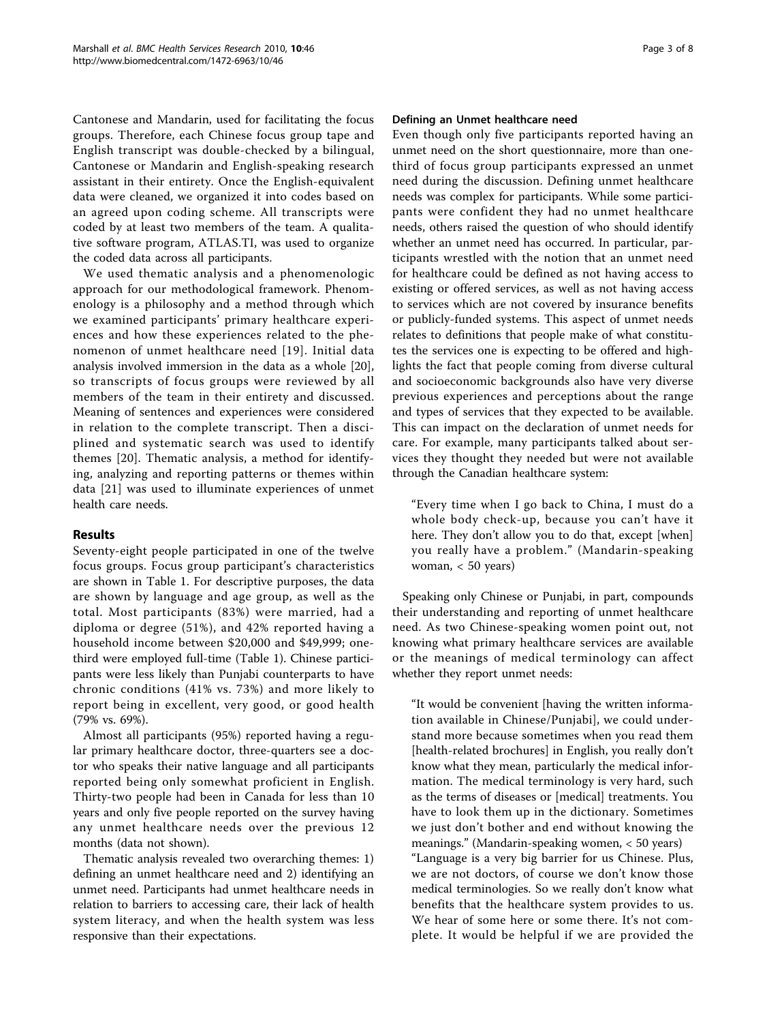Cantonese and Mandarin, used for facilitating the focus groups. Therefore, each Chinese focus group tape and English transcript was double-checked by a bilingual, Cantonese or Mandarin and English-speaking research assistant in their entirety. Once the English-equivalent data were cleaned, we organized it into codes based on an agreed upon coding scheme. All transcripts were coded by at least two members of the team. A qualitative software program, ATLAS.TI, was used to organize the coded data across all participants.

We used thematic analysis and a phenomenologic approach for our methodological framework. Phenomenology is a philosophy and a method through which we examined participants' primary healthcare experiences and how these experiences related to the phenomenon of unmet healthcare need [\[19\]](#page-7-0). Initial data analysis involved immersion in the data as a whole [\[20](#page-7-0)], so transcripts of focus groups were reviewed by all members of the team in their entirety and discussed. Meaning of sentences and experiences were considered in relation to the complete transcript. Then a disciplined and systematic search was used to identify themes [[20\]](#page-7-0). Thematic analysis, a method for identifying, analyzing and reporting patterns or themes within data [\[21\]](#page-7-0) was used to illuminate experiences of unmet health care needs.

## Results

Seventy-eight people participated in one of the twelve focus groups. Focus group participant's characteristics are shown in Table [1.](#page-3-0) For descriptive purposes, the data are shown by language and age group, as well as the total. Most participants (83%) were married, had a diploma or degree (51%), and 42% reported having a household income between \$20,000 and \$49,999; onethird were employed full-time (Table [1](#page-3-0)). Chinese participants were less likely than Punjabi counterparts to have chronic conditions (41% vs. 73%) and more likely to report being in excellent, very good, or good health (79% vs. 69%).

Almost all participants (95%) reported having a regular primary healthcare doctor, three-quarters see a doctor who speaks their native language and all participants reported being only somewhat proficient in English. Thirty-two people had been in Canada for less than 10 years and only five people reported on the survey having any unmet healthcare needs over the previous 12 months (data not shown).

Thematic analysis revealed two overarching themes: 1) defining an unmet healthcare need and 2) identifying an unmet need. Participants had unmet healthcare needs in relation to barriers to accessing care, their lack of health system literacy, and when the health system was less responsive than their expectations.

## Defining an Unmet healthcare need

Even though only five participants reported having an unmet need on the short questionnaire, more than onethird of focus group participants expressed an unmet need during the discussion. Defining unmet healthcare needs was complex for participants. While some participants were confident they had no unmet healthcare needs, others raised the question of who should identify whether an unmet need has occurred. In particular, participants wrestled with the notion that an unmet need for healthcare could be defined as not having access to existing or offered services, as well as not having access to services which are not covered by insurance benefits or publicly-funded systems. This aspect of unmet needs relates to definitions that people make of what constitutes the services one is expecting to be offered and highlights the fact that people coming from diverse cultural and socioeconomic backgrounds also have very diverse previous experiences and perceptions about the range and types of services that they expected to be available. This can impact on the declaration of unmet needs for care. For example, many participants talked about services they thought they needed but were not available through the Canadian healthcare system:

"Every time when I go back to China, I must do a whole body check-up, because you can't have it here. They don't allow you to do that, except [when] you really have a problem." (Mandarin-speaking woman, < 50 years)

Speaking only Chinese or Punjabi, in part, compounds their understanding and reporting of unmet healthcare need. As two Chinese-speaking women point out, not knowing what primary healthcare services are available or the meanings of medical terminology can affect whether they report unmet needs:

"It would be convenient [having the written information available in Chinese/Punjabi], we could understand more because sometimes when you read them [health-related brochures] in English, you really don't know what they mean, particularly the medical information. The medical terminology is very hard, such as the terms of diseases or [medical] treatments. You have to look them up in the dictionary. Sometimes we just don't bother and end without knowing the meanings." (Mandarin-speaking women, < 50 years) "Language is a very big barrier for us Chinese. Plus, we are not doctors, of course we don't know those medical terminologies. So we really don't know what benefits that the healthcare system provides to us. We hear of some here or some there. It's not complete. It would be helpful if we are provided the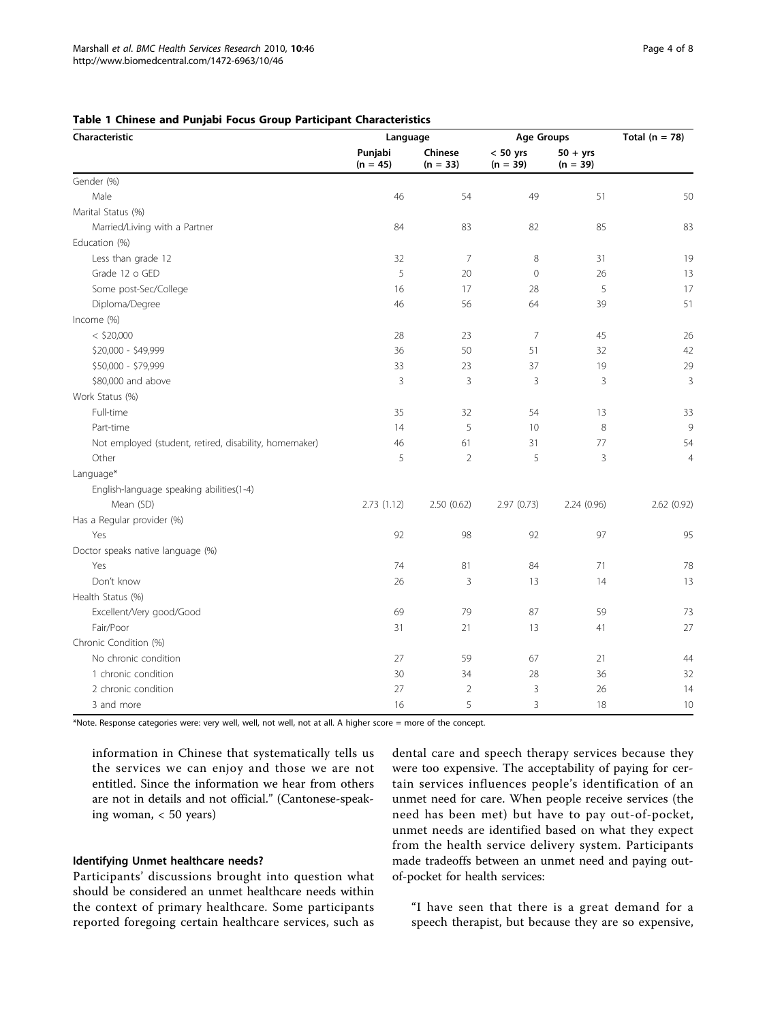#### <span id="page-3-0"></span>Table 1 Chinese and Punjabi Focus Group Participant Characteristics

| Characteristic                                         | Language              |                       | <b>Age Groups</b>        |                          | Total ( $n = 78$ ) |
|--------------------------------------------------------|-----------------------|-----------------------|--------------------------|--------------------------|--------------------|
|                                                        | Punjabi<br>$(n = 45)$ | Chinese<br>$(n = 33)$ | $< 50$ yrs<br>$(n = 39)$ | $50 + yrs$<br>$(n = 39)$ |                    |
| Gender (%)                                             |                       |                       |                          |                          |                    |
| Male                                                   | 46                    | 54                    | 49                       | 51                       | 50                 |
| Marital Status (%)                                     |                       |                       |                          |                          |                    |
| Married/Living with a Partner                          | 84                    | 83                    | 82                       | 85                       | 83                 |
| Education (%)                                          |                       |                       |                          |                          |                    |
| Less than grade 12                                     | 32                    | $\overline{7}$        | 8                        | 31                       | 19                 |
| Grade 12 o GED                                         | 5                     | 20                    | $\overline{0}$           | 26                       | 13                 |
| Some post-Sec/College                                  | 16                    | 17                    | 28                       | 5                        | 17                 |
| Diploma/Degree                                         | 46                    | 56                    | 64                       | 39                       | 51                 |
| Income (%)                                             |                       |                       |                          |                          |                    |
| $<$ \$20,000                                           | 28                    | 23                    | $\overline{7}$           | 45                       | 26                 |
| \$20,000 - \$49,999                                    | 36                    | 50                    | 51                       | 32                       | 42                 |
| \$50,000 - \$79,999                                    | 33                    | 23                    | 37                       | 19                       | 29                 |
| \$80,000 and above                                     | 3                     | $\overline{3}$        | 3                        | 3                        | 3                  |
| Work Status (%)                                        |                       |                       |                          |                          |                    |
| Full-time                                              | 35                    | 32                    | 54                       | 13                       | 33                 |
| Part-time                                              | 14                    | 5                     | 10                       | 8                        | 9                  |
| Not employed (student, retired, disability, homemaker) | 46                    | 61                    | 31                       | 77                       | 54                 |
| Other                                                  | 5                     | $\overline{2}$        | 5                        | 3                        | $\overline{4}$     |
| Language*                                              |                       |                       |                          |                          |                    |
| English-language speaking abilities(1-4)               |                       |                       |                          |                          |                    |
| Mean (SD)                                              | 2.73(1.12)            | 2.50(0.62)            | 2.97(0.73)               | 2.24(0.96)               | 2.62(0.92)         |
| Has a Regular provider (%)                             |                       |                       |                          |                          |                    |
| Yes                                                    | 92                    | 98                    | 92                       | 97                       | 95                 |
| Doctor speaks native language (%)                      |                       |                       |                          |                          |                    |
| Yes                                                    | 74                    | 81                    | 84                       | 71                       | 78                 |
| Don't know                                             | 26                    | 3                     | 13                       | 14                       | 13                 |
| Health Status (%)                                      |                       |                       |                          |                          |                    |
| Excellent/Very good/Good                               | 69                    | 79                    | 87                       | 59                       | 73                 |
| Fair/Poor                                              | 31                    | 21                    | 13                       | 41                       | 27                 |
| Chronic Condition (%)                                  |                       |                       |                          |                          |                    |
| No chronic condition                                   | 27                    | 59                    | 67                       | 21                       | 44                 |
| 1 chronic condition                                    | 30                    | 34                    | 28                       | 36                       | 32                 |
| 2 chronic condition                                    | 27                    | $\overline{2}$        | $\mathbf{3}$             | 26                       | 14                 |
| 3 and more                                             | 16                    | 5                     | 3                        | 18                       | 10                 |

\*Note. Response categories were: very well, well, not well, not at all. A higher score = more of the concept.

information in Chinese that systematically tells us the services we can enjoy and those we are not entitled. Since the information we hear from others are not in details and not official." (Cantonese-speaking woman, < 50 years)

#### Identifying Unmet healthcare needs?

Participants' discussions brought into question what should be considered an unmet healthcare needs within the context of primary healthcare. Some participants reported foregoing certain healthcare services, such as

dental care and speech therapy services because they were too expensive. The acceptability of paying for certain services influences people's identification of an unmet need for care. When people receive services (the need has been met) but have to pay out-of-pocket, unmet needs are identified based on what they expect from the health service delivery system. Participants made tradeoffs between an unmet need and paying outof-pocket for health services:

"I have seen that there is a great demand for a speech therapist, but because they are so expensive,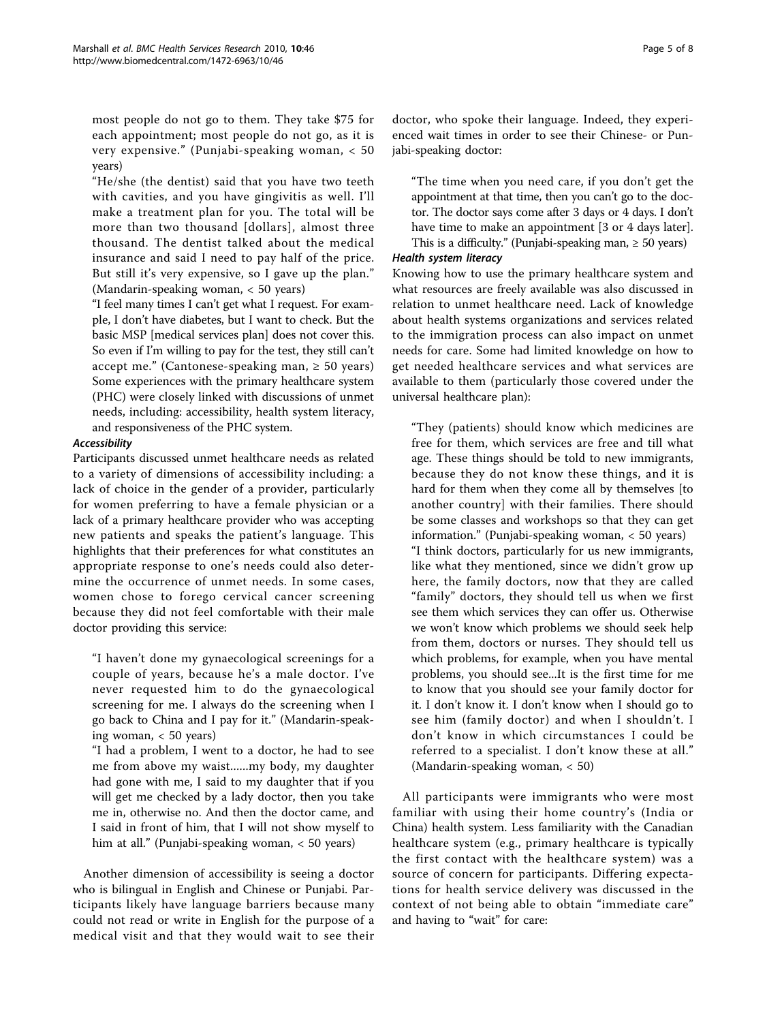most people do not go to them. They take \$75 for each appointment; most people do not go, as it is very expensive." (Punjabi-speaking woman, < 50 years)

"He/she (the dentist) said that you have two teeth with cavities, and you have gingivitis as well. I'll make a treatment plan for you. The total will be more than two thousand [dollars], almost three thousand. The dentist talked about the medical insurance and said I need to pay half of the price. But still it's very expensive, so I gave up the plan." (Mandarin-speaking woman, < 50 years)

"I feel many times I can't get what I request. For example, I don't have diabetes, but I want to check. But the basic MSP [medical services plan] does not cover this. So even if I'm willing to pay for the test, they still can't accept me." (Cantonese-speaking man,  $\geq 50$  years) Some experiences with the primary healthcare system (PHC) were closely linked with discussions of unmet needs, including: accessibility, health system literacy, and responsiveness of the PHC system.

## Accessibility

Participants discussed unmet healthcare needs as related to a variety of dimensions of accessibility including: a lack of choice in the gender of a provider, particularly for women preferring to have a female physician or a lack of a primary healthcare provider who was accepting new patients and speaks the patient's language. This highlights that their preferences for what constitutes an appropriate response to one's needs could also determine the occurrence of unmet needs. In some cases, women chose to forego cervical cancer screening because they did not feel comfortable with their male doctor providing this service:

"I haven't done my gynaecological screenings for a couple of years, because he's a male doctor. I've never requested him to do the gynaecological screening for me. I always do the screening when I go back to China and I pay for it." (Mandarin-speaking woman, < 50 years)

"I had a problem, I went to a doctor, he had to see me from above my waist......my body, my daughter had gone with me, I said to my daughter that if you will get me checked by a lady doctor, then you take me in, otherwise no. And then the doctor came, and I said in front of him, that I will not show myself to him at all." (Punjabi-speaking woman, < 50 years)

Another dimension of accessibility is seeing a doctor who is bilingual in English and Chinese or Punjabi. Participants likely have language barriers because many could not read or write in English for the purpose of a medical visit and that they would wait to see their

doctor, who spoke their language. Indeed, they experienced wait times in order to see their Chinese- or Punjabi-speaking doctor:

"The time when you need care, if you don't get the appointment at that time, then you can't go to the doctor. The doctor says come after 3 days or 4 days. I don't have time to make an appointment [3 or 4 days later].

This is a difficulty." (Punjabi-speaking man,  $\geq 50$  years)

## Health system literacy

Knowing how to use the primary healthcare system and what resources are freely available was also discussed in relation to unmet healthcare need. Lack of knowledge about health systems organizations and services related to the immigration process can also impact on unmet needs for care. Some had limited knowledge on how to get needed healthcare services and what services are available to them (particularly those covered under the universal healthcare plan):

"They (patients) should know which medicines are free for them, which services are free and till what age. These things should be told to new immigrants, because they do not know these things, and it is hard for them when they come all by themselves [to another country] with their families. There should be some classes and workshops so that they can get information." (Punjabi-speaking woman, < 50 years) "I think doctors, particularly for us new immigrants, like what they mentioned, since we didn't grow up here, the family doctors, now that they are called "family" doctors, they should tell us when we first see them which services they can offer us. Otherwise we won't know which problems we should seek help from them, doctors or nurses. They should tell us which problems, for example, when you have mental problems, you should see...It is the first time for me to know that you should see your family doctor for it. I don't know it. I don't know when I should go to see him (family doctor) and when I shouldn't. I don't know in which circumstances I could be referred to a specialist. I don't know these at all." (Mandarin-speaking woman, < 50)

All participants were immigrants who were most familiar with using their home country's (India or China) health system. Less familiarity with the Canadian healthcare system (e.g., primary healthcare is typically the first contact with the healthcare system) was a source of concern for participants. Differing expectations for health service delivery was discussed in the context of not being able to obtain "immediate care" and having to "wait" for care: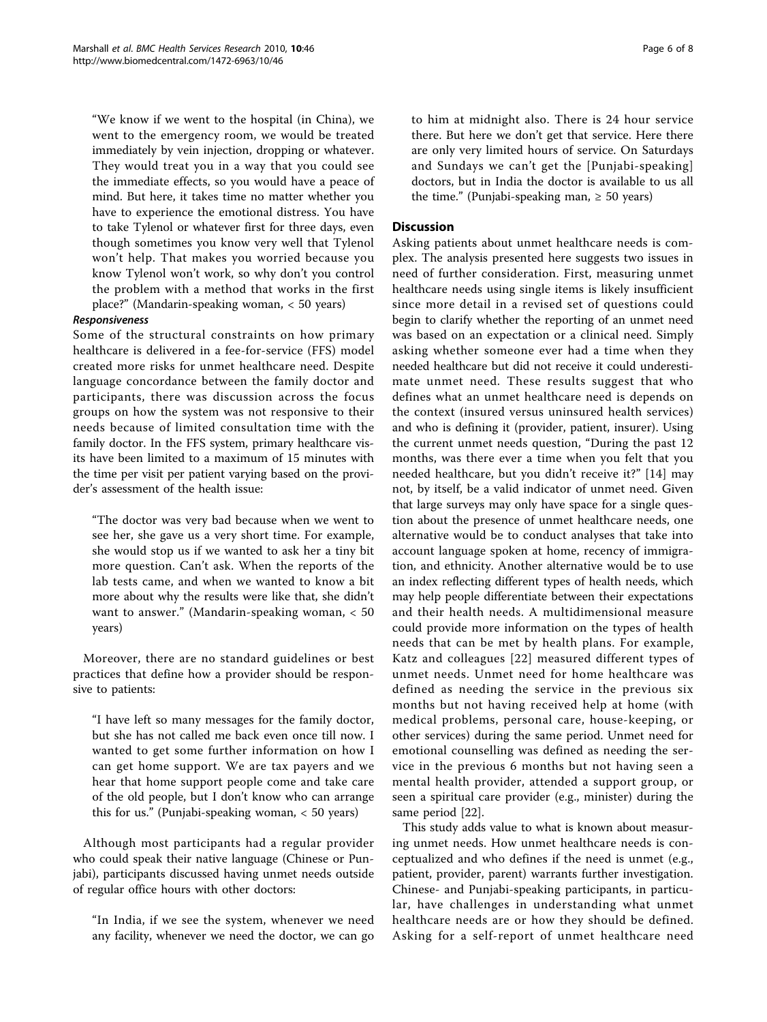"We know if we went to the hospital (in China), we went to the emergency room, we would be treated immediately by vein injection, dropping or whatever. They would treat you in a way that you could see the immediate effects, so you would have a peace of mind. But here, it takes time no matter whether you have to experience the emotional distress. You have to take Tylenol or whatever first for three days, even though sometimes you know very well that Tylenol won't help. That makes you worried because you know Tylenol won't work, so why don't you control the problem with a method that works in the first place?" (Mandarin-speaking woman, < 50 years)

#### Responsiveness

Some of the structural constraints on how primary healthcare is delivered in a fee-for-service (FFS) model created more risks for unmet healthcare need. Despite language concordance between the family doctor and participants, there was discussion across the focus groups on how the system was not responsive to their needs because of limited consultation time with the family doctor. In the FFS system, primary healthcare visits have been limited to a maximum of 15 minutes with the time per visit per patient varying based on the provider's assessment of the health issue:

"The doctor was very bad because when we went to see her, she gave us a very short time. For example, she would stop us if we wanted to ask her a tiny bit more question. Can't ask. When the reports of the lab tests came, and when we wanted to know a bit more about why the results were like that, she didn't want to answer." (Mandarin-speaking woman, < 50 years)

Moreover, there are no standard guidelines or best practices that define how a provider should be responsive to patients:

"I have left so many messages for the family doctor, but she has not called me back even once till now. I wanted to get some further information on how I can get home support. We are tax payers and we hear that home support people come and take care of the old people, but I don't know who can arrange this for us." (Punjabi-speaking woman,  $<$  50 years)

Although most participants had a regular provider who could speak their native language (Chinese or Punjabi), participants discussed having unmet needs outside of regular office hours with other doctors:

"In India, if we see the system, whenever we need any facility, whenever we need the doctor, we can go to him at midnight also. There is 24 hour service there. But here we don't get that service. Here there are only very limited hours of service. On Saturdays and Sundays we can't get the [Punjabi-speaking] doctors, but in India the doctor is available to us all the time." (Punjabi-speaking man,  $\geq 50$  years)

## **Discussion**

Asking patients about unmet healthcare needs is complex. The analysis presented here suggests two issues in need of further consideration. First, measuring unmet healthcare needs using single items is likely insufficient since more detail in a revised set of questions could begin to clarify whether the reporting of an unmet need was based on an expectation or a clinical need. Simply asking whether someone ever had a time when they needed healthcare but did not receive it could underestimate unmet need. These results suggest that who defines what an unmet healthcare need is depends on the context (insured versus uninsured health services) and who is defining it (provider, patient, insurer). Using the current unmet needs question, "During the past 12 months, was there ever a time when you felt that you needed healthcare, but you didn't receive it?" [[14\]](#page-7-0) may not, by itself, be a valid indicator of unmet need. Given that large surveys may only have space for a single question about the presence of unmet healthcare needs, one alternative would be to conduct analyses that take into account language spoken at home, recency of immigration, and ethnicity. Another alternative would be to use an index reflecting different types of health needs, which may help people differentiate between their expectations and their health needs. A multidimensional measure could provide more information on the types of health needs that can be met by health plans. For example, Katz and colleagues [[22](#page-7-0)] measured different types of unmet needs. Unmet need for home healthcare was defined as needing the service in the previous six months but not having received help at home (with medical problems, personal care, house-keeping, or other services) during the same period. Unmet need for emotional counselling was defined as needing the service in the previous 6 months but not having seen a mental health provider, attended a support group, or seen a spiritual care provider (e.g., minister) during the same period [\[22\]](#page-7-0).

This study adds value to what is known about measuring unmet needs. How unmet healthcare needs is conceptualized and who defines if the need is unmet (e.g., patient, provider, parent) warrants further investigation. Chinese- and Punjabi-speaking participants, in particular, have challenges in understanding what unmet healthcare needs are or how they should be defined. Asking for a self-report of unmet healthcare need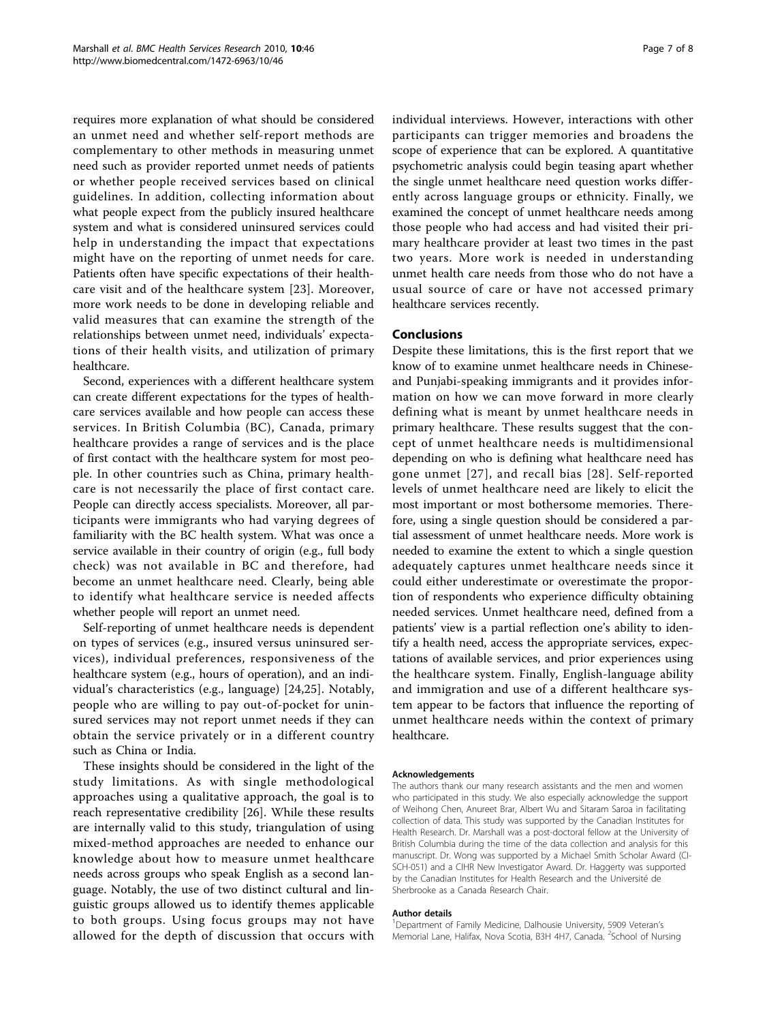requires more explanation of what should be considered an unmet need and whether self-report methods are complementary to other methods in measuring unmet need such as provider reported unmet needs of patients or whether people received services based on clinical guidelines. In addition, collecting information about what people expect from the publicly insured healthcare system and what is considered uninsured services could help in understanding the impact that expectations might have on the reporting of unmet needs for care. Patients often have specific expectations of their healthcare visit and of the healthcare system [[23](#page-7-0)]. Moreover, more work needs to be done in developing reliable and valid measures that can examine the strength of the relationships between unmet need, individuals' expectations of their health visits, and utilization of primary healthcare.

Second, experiences with a different healthcare system can create different expectations for the types of healthcare services available and how people can access these services. In British Columbia (BC), Canada, primary healthcare provides a range of services and is the place of first contact with the healthcare system for most people. In other countries such as China, primary healthcare is not necessarily the place of first contact care. People can directly access specialists. Moreover, all participants were immigrants who had varying degrees of familiarity with the BC health system. What was once a service available in their country of origin (e.g., full body check) was not available in BC and therefore, had become an unmet healthcare need. Clearly, being able to identify what healthcare service is needed affects whether people will report an unmet need.

Self-reporting of unmet healthcare needs is dependent on types of services (e.g., insured versus uninsured services), individual preferences, responsiveness of the healthcare system (e.g., hours of operation), and an individual's characteristics (e.g., language) [[24,25](#page-7-0)]. Notably, people who are willing to pay out-of-pocket for uninsured services may not report unmet needs if they can obtain the service privately or in a different country such as China or India.

These insights should be considered in the light of the study limitations. As with single methodological approaches using a qualitative approach, the goal is to reach representative credibility [[26\]](#page-7-0). While these results are internally valid to this study, triangulation of using mixed-method approaches are needed to enhance our knowledge about how to measure unmet healthcare needs across groups who speak English as a second language. Notably, the use of two distinct cultural and linguistic groups allowed us to identify themes applicable to both groups. Using focus groups may not have allowed for the depth of discussion that occurs with individual interviews. However, interactions with other participants can trigger memories and broadens the scope of experience that can be explored. A quantitative psychometric analysis could begin teasing apart whether the single unmet healthcare need question works differently across language groups or ethnicity. Finally, we examined the concept of unmet healthcare needs among those people who had access and had visited their primary healthcare provider at least two times in the past two years. More work is needed in understanding unmet health care needs from those who do not have a usual source of care or have not accessed primary healthcare services recently.

## Conclusions

Despite these limitations, this is the first report that we know of to examine unmet healthcare needs in Chineseand Punjabi-speaking immigrants and it provides information on how we can move forward in more clearly defining what is meant by unmet healthcare needs in primary healthcare. These results suggest that the concept of unmet healthcare needs is multidimensional depending on who is defining what healthcare need has gone unmet [[27](#page-7-0)], and recall bias [[28](#page-7-0)]. Self-reported levels of unmet healthcare need are likely to elicit the most important or most bothersome memories. Therefore, using a single question should be considered a partial assessment of unmet healthcare needs. More work is needed to examine the extent to which a single question adequately captures unmet healthcare needs since it could either underestimate or overestimate the proportion of respondents who experience difficulty obtaining needed services. Unmet healthcare need, defined from a patients' view is a partial reflection one's ability to identify a health need, access the appropriate services, expectations of available services, and prior experiences using the healthcare system. Finally, English-language ability and immigration and use of a different healthcare system appear to be factors that influence the reporting of unmet healthcare needs within the context of primary healthcare.

#### Acknowledgements

The authors thank our many research assistants and the men and women who participated in this study. We also especially acknowledge the support of Weihong Chen, Anureet Brar, Albert Wu and Sitaram Saroa in facilitating collection of data. This study was supported by the Canadian Institutes for Health Research. Dr. Marshall was a post-doctoral fellow at the University of British Columbia during the time of the data collection and analysis for this manuscript. Dr. Wong was supported by a Michael Smith Scholar Award (CI-SCH-051) and a CIHR New Investigator Award. Dr. Haggerty was supported by the Canadian Institutes for Health Research and the Université de Sherbrooke as a Canada Research Chair.

#### Author details

<sup>1</sup>Department of Family Medicine, Dalhousie University, 5909 Veteran's Memorial Lane, Halifax, Nova Scotia, B3H 4H7, Canada. <sup>2</sup>School of Nursing